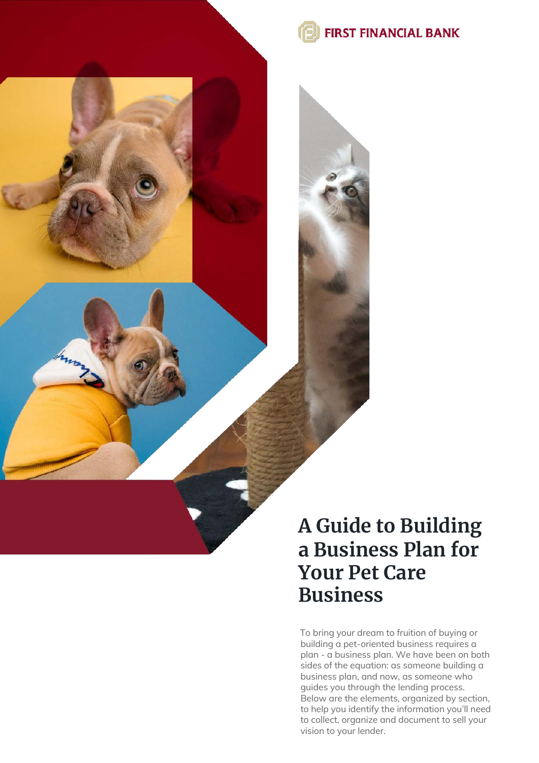

### **A Guide to Building a Business Plan for Your Pet Care Business**

To bring your dream to fruition of buying or building a pet-oriented business requires a plan - a business plan. We have been on both sides of the equation: as someone building a business plan, and now, as someone who guides you through the lending process. Below are the elements, organized by section, to help you identify the information you'll need to collect, organize and document to sell your vision to your lender.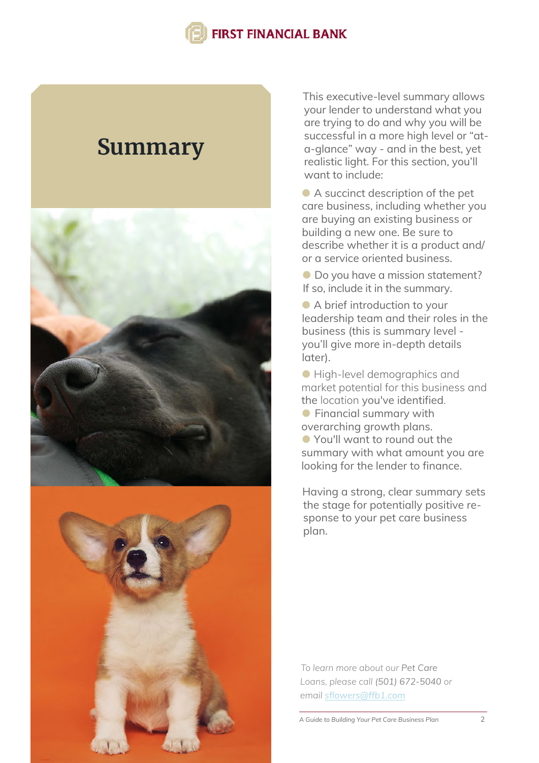### **Summary**





This executive-level summary allows your lender to understand what you are trying to do and why you will be successful in a more high level or "ata-glance" way - and in the best, yet realistic light. For this section, you'll want to include:

A succinct description of the pet care business, including whether you are buying an existing business or building a new one. Be sure to describe whether it is a product and/ or a service oriented business.

 $\bullet$  Do you have a mission statement? If so, include it in the summary.

 A brief introduction to your leadership team and their roles in the business (this is summary level you'll give more in-depth details later).

 High-level demographics and market potential for this business and the location you've identified. **•** Financial summary with

overarching growth plans. You'll want to round out the

summary with what amount you are looking for the lender to finance.

Having a strong, clear summary sets the stage for potentially positive response to your pet care business plan.

*To learn more about our Pet Care Loans, please call (501) 672-5040 or email sflowers@ffb1.com*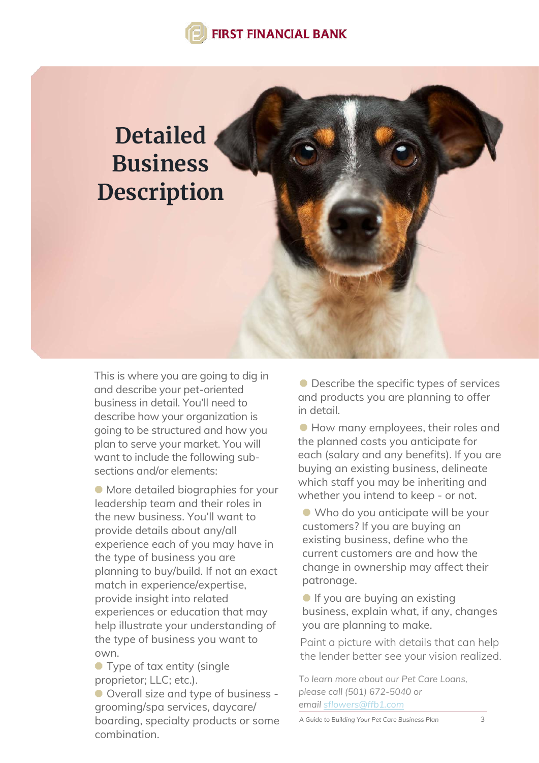# **Detailed Business Description**

This is where you are going to dig in and describe your pet-oriented business in detail. You'll need to describe how your organization is going to be structured and how you plan to serve your market. You will want to include the following subsections and/or elements:

 More detailed biographies for your leadership team and their roles in the new business. You'll want to provide details about any/all experience each of you may have in the type of business you are planning to buy/build. If not an exact match in experience/expertise, provide insight into related experiences or education that may help illustrate your understanding of the type of business you want to own.

**•** Type of tax entity (single proprietor; LLC; etc.).

 Overall size and type of business grooming/spa services, daycare/ boarding, specialty products or some combination.

● Describe the specific types of services and products you are planning to offer in detail.

**How many employees, their roles and** the planned costs you anticipate for each (salary and any benefits). If you are buying an existing business, delineate which staff you may be inheriting and whether you intend to keep - or not.

 Who do you anticipate will be your customers? If you are buying an existing business, define who the current customers are and how the change in ownership may affect their patronage.

**If you are buying an existing** business, explain what, if any, changes you are planning to make.

Paint a picture with details that can help the lender better see your vision realized.

*To learn more about our Pet Care Loans, please call (501) 672-5040 or email sflowers@ffb1.com*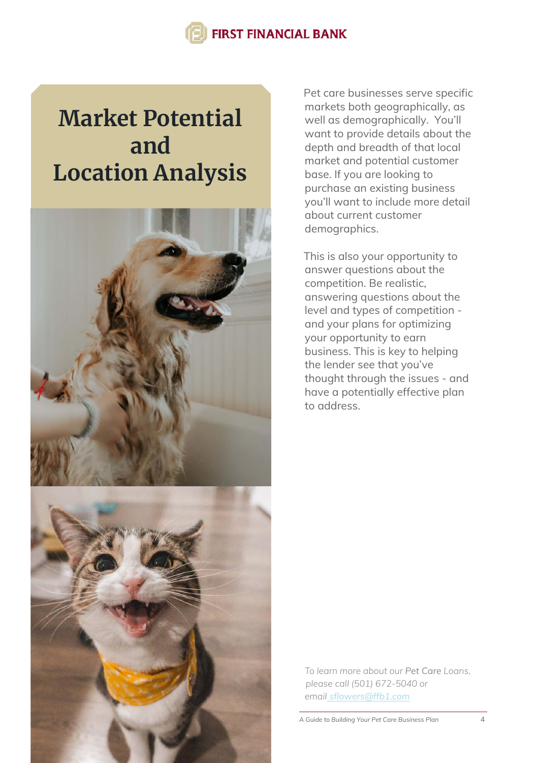## **Market Potential and Location Analysis**



Pet care businesses serve specific markets both geographically, as well as demographically. You'll want to provide details about the depth and breadth of that local market and potential customer base. If you are looking to purchase an existing business you'll want to include more detail about current customer demographics.

This is also your opportunity to answer questions about the competition. Be realistic, answering questions about the level and types of competition and your plans for optimizing your opportunity to earn business. This is key to helping the lender see that you've thought through the issues - and have a potentially effective plan to address.

*To learn more about our Pet Care Loans, please call (501) 672-5040 or email sflowers@ffb1.com*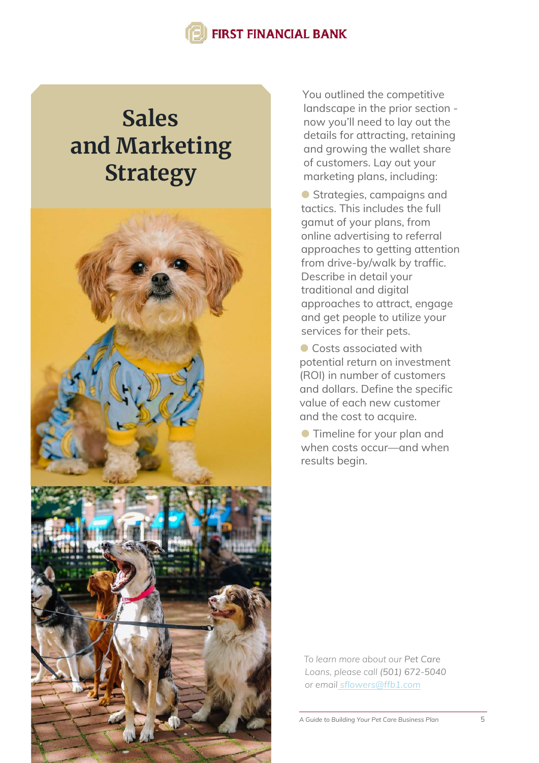# **Sales and Marketing Strategy**



You outlined the competitive landscape in the prior section now you'll need to lay out the details for attracting, retaining and growing the wallet share of customers. Lay out your marketing plans, including:

 Strategies, campaigns and tactics. This includes the full gamut of your plans, from online advertising to referral approaches to getting attention from drive-by/walk by traffic. Describe in detail your traditional and digital approaches to attract, engage and get people to utilize your services for their pets.

**Costs associated with** potential return on investment (ROI) in number of customers and dollars. Define the specific value of each new customer and the cost to acquire.

**• Timeline for your plan and** when costs occur—and when results begin.

*To learn more about our Pet Care Loans, please call (501) 672-5040 or email sflowers@ffb1.com*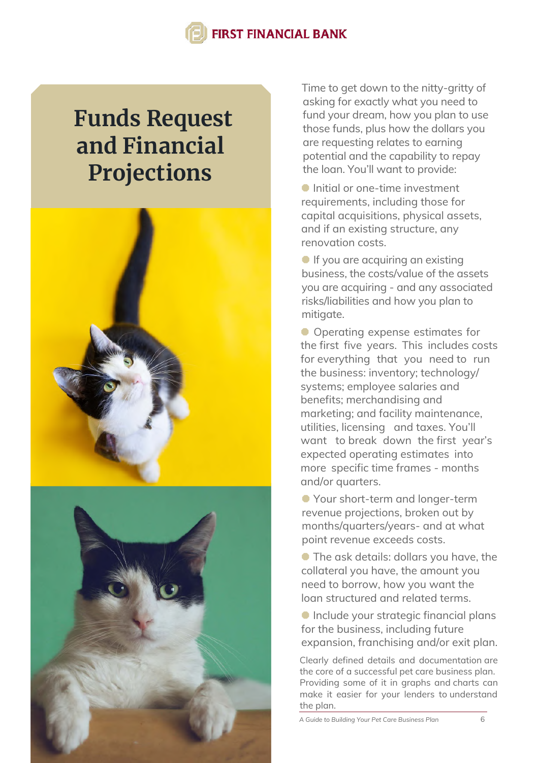## **Funds Request and Financial Projections**



Time to get down to the nitty-gritty of asking for exactly what you need to fund your dream, how you plan to use those funds, plus how the dollars you are requesting relates to earning potential and the capability to repay the loan. You'll want to provide:

 Initial or one-time investment requirements, including those for capital acquisitions, physical assets, and if an existing structure, any renovation costs.

**If you are acquiring an existing** business, the costs/value of the assets you are acquiring - and any associated risks/liabilities and how you plan to mitigate.

 Operating expense estimates for the first five years. This includes costs for everything that you need to run the business: inventory; technology/ systems; employee salaries and benefits; merchandising and marketing; and facility maintenance, utilities, licensing and taxes. You'll want to break down the first year's expected operating estimates into more specific time frames - months and/or quarters.

 Your short-term and longer-term revenue projections, broken out by months/quarters/years- and at what point revenue exceeds costs.

 The ask details: dollars you have, the collateral you have, the amount you need to borrow, how you want the loan structured and related terms.

**Include your strategic financial plans** for the business, including future expansion, franchising and/or exit plan.

Clearly defined details and documentation are the core of a successful pet care business plan. Providing some of it in graphs and charts can make it easier for your lenders to understand the plan.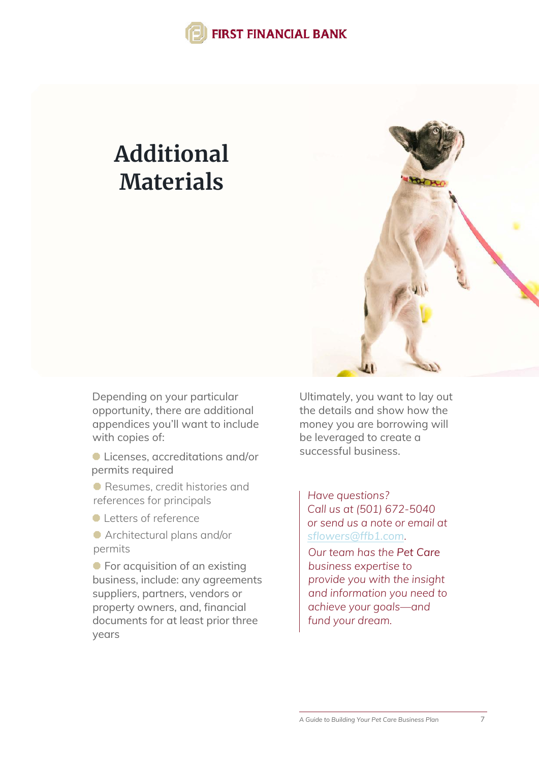## **Additional Materials**



Depending on your particular opportunity, there are additional appendices you'll want to include with copies of:

 Licenses, accreditations and/or permits required

 Resumes, credit histories and references for principals

- **C** Letters of reference
- Architectural plans and/or permits

**•** For acquisition of an existing business, include: any agreements suppliers, partners, vendors or property owners, and, financial documents for at least prior three years

Ultimately, you want to lay out the details and show how the money you are borrowing will be leveraged to create a successful business.

*Have questions? Call us at (501) 672-5040 or send us a note or email at sflowers[@ffb1.com](mailto:sflowers@ffb1.com).*

*Our team has the Pet Care business expertise to provide you with the insight and information you need to achieve your goals—and fund your dream.*